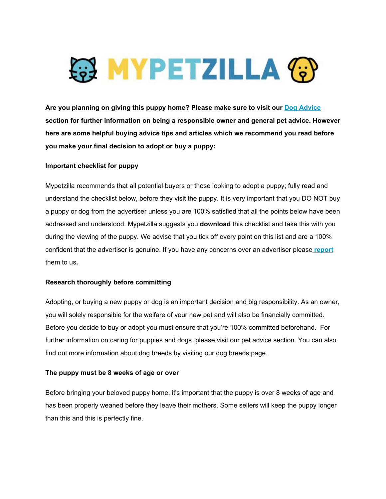

**Are you planning on giving this puppy home? Please make sure to visit our [Dog Advice](https://www.mypetzilla.co.uk/pet-advice/dogs) section for further information on being a responsible owner and general pet advice. However here are some helpful buying advice tips and articles which we recommend you read before you make your final decision to adopt or buy a puppy:**

### **Important checklist for puppy**

Mypetzilla recommends that all potential buyers or those looking to adopt a puppy; fully read and understand the checklist below, before they visit the puppy. It is very important that you DO NOT buy a puppy or dog from the advertiser unless you are 100% satisfied that all the points below have been addressed and understood. Mypetzilla suggests you **download** this checklist and take this with you during the viewing of the puppy. We advise that you tick off every point on this list and are a 100% confident that the advertiser is genuine. If you have any concerns over an advertiser please **[report](https://www.mypetzilla.co.uk/contact-us/)** them to us**.**

### **Research thoroughly before committing**

Adopting, or buying a new puppy or dog is an important decision and big responsibility. As an owner, you will solely responsible for the welfare of your new pet and will also be financially committed. Before you decide to buy or adopt you must ensure that you're 100% committed beforehand. For further information on caring for puppies and dogs, please visit our pet advice section. You can also find out more information about dog breeds by visiting our dog breeds page.

# **The puppy must be 8 weeks of age or over**

Before bringing your beloved puppy home, it's important that the puppy is over 8 weeks of age and has been properly weaned before they leave their mothers. Some sellers will keep the puppy longer than this and this is perfectly fine.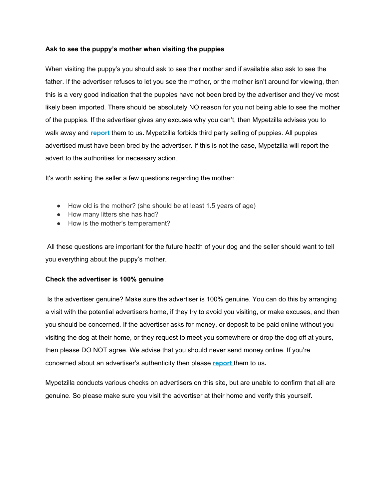### **Ask to see the puppy's mother when visiting the puppies**

When visiting the puppy's you should ask to see their mother and if available also ask to see the father. If the advertiser refuses to let you see the mother, or the mother isn't around for viewing, then this is a very good indication that the puppies have not been bred by the advertiser and they've most likely been imported. There should be absolutely NO reason for you not being able to see the mother of the puppies. If the advertiser gives any excuses why you can't, then Mypetzilla advises you to walk away and **[report](https://www.mypetzilla.co.uk/contact-us/)** them to us**.** Mypetzilla forbids third party selling of puppies. All puppies advertised must have been bred by the advertiser. If this is not the case, Mypetzilla will report the advert to the authorities for necessary action.

It's worth asking the seller a few questions regarding the mother:

- How old is the mother? (she should be at least 1.5 years of age)
- How many litters she has had?
- How is the mother's temperament?

 All these questions are important for the future health of your dog and the seller should want to tell you everything about the puppy's mother.

### **Check the advertiser is 100% genuine**

 Is the advertiser genuine? Make sure the advertiser is 100% genuine. You can do this by arranging a visit with the potential advertisers home, if they try to avoid you visiting, or make excuses, and then you should be concerned. If the advertiser asks for money, or deposit to be paid online without you visiting the dog at their home, or they request to meet you somewhere or drop the dog off at yours, then please DO NOT agree. We advise that you should never send money online. If you're concerned about an advertiser's authenticity then please **[report](https://www.mypetzilla.co.uk/contact-us/)** them to us**.**

Mypetzilla conducts various checks on advertisers on this site, but are unable to confirm that all are genuine. So please make sure you visit the advertiser at their home and verify this yourself.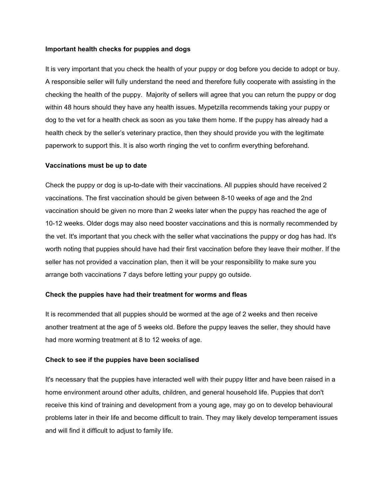#### **Important health checks for puppies and dogs**

It is very important that you check the health of your puppy or dog before you decide to adopt or buy. A responsible seller will fully understand the need and therefore fully cooperate with assisting in the checking the health of the puppy. Majority of sellers will agree that you can return the puppy or dog within 48 hours should they have any health issues. Mypetzilla recommends taking your puppy or dog to the vet for a health check as soon as you take them home. If the puppy has already had a health check by the seller's veterinary practice, then they should provide you with the legitimate paperwork to support this. It is also worth ringing the vet to confirm everything beforehand.

#### **Vaccinations must be up to date**

Check the puppy or dog is up-to-date with their vaccinations. All puppies should have received 2 vaccinations. The first vaccination should be given between 8-10 weeks of age and the 2nd vaccination should be given no more than 2 weeks later when the puppy has reached the age of 10-12 weeks. Older dogs may also need booster vaccinations and this is normally recommended by the vet. It's important that you check with the seller what vaccinations the puppy or dog has had. It's worth noting that puppies should have had their first vaccination before they leave their mother. If the seller has not provided a vaccination plan, then it will be your responsibility to make sure you arrange both vaccinations 7 days before letting your puppy go outside.

#### **Check the puppies have had their treatment for worms and fleas**

It is recommended that all puppies should be wormed at the age of 2 weeks and then receive another treatment at the age of 5 weeks old. Before the puppy leaves the seller, they should have had more worming treatment at 8 to 12 weeks of age.

#### **Check to see if the puppies have been socialised**

It's necessary that the puppies have interacted well with their puppy litter and have been raised in a home environment around other adults, children, and general household life. Puppies that don't receive this kind of training and development from a young age, may go on to develop behavioural problems later in their life and become difficult to train. They may likely develop temperament issues and will find it difficult to adjust to family life.